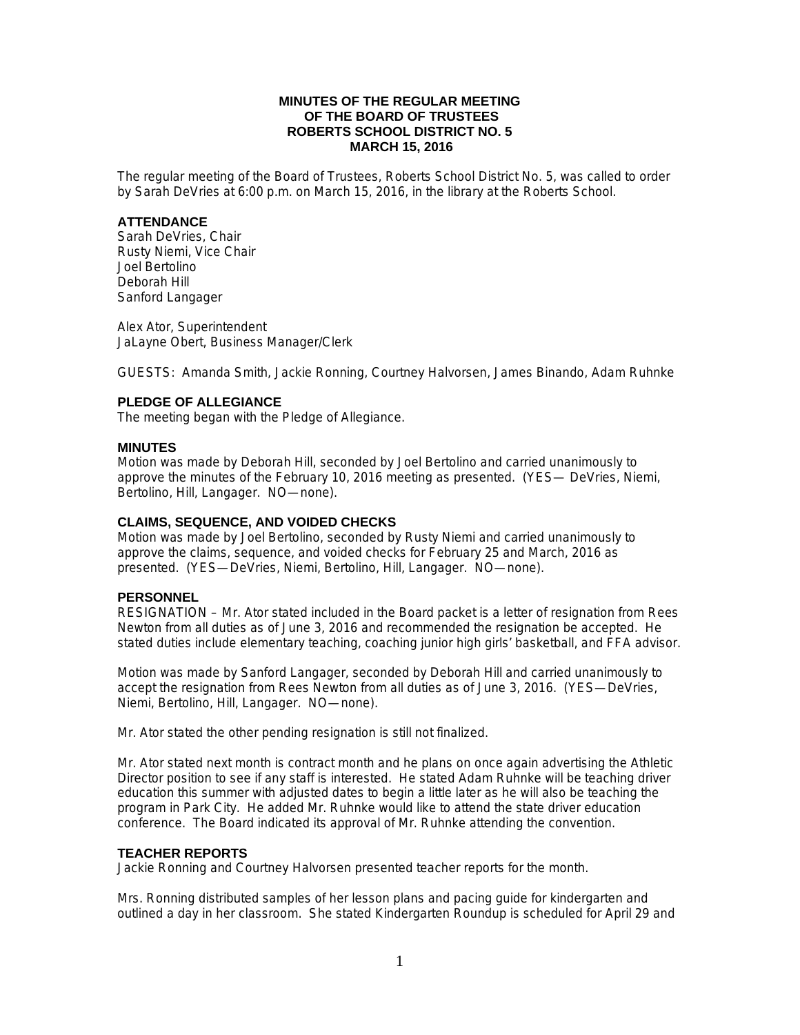# **MINUTES OF THE REGULAR MEETING OF THE BOARD OF TRUSTEES ROBERTS SCHOOL DISTRICT NO. 5 MARCH 15, 2016**

The regular meeting of the Board of Trustees, Roberts School District No. 5, was called to order by Sarah DeVries at 6:00 p.m. on March 15, 2016, in the library at the Roberts School.

## **ATTENDANCE**

Sarah DeVries, Chair Rusty Niemi, Vice Chair Joel Bertolino Deborah Hill Sanford Langager

Alex Ator, Superintendent JaLayne Obert, Business Manager/Clerk

GUESTS: Amanda Smith, Jackie Ronning, Courtney Halvorsen, James Binando, Adam Ruhnke

# **PLEDGE OF ALLEGIANCE**

The meeting began with the Pledge of Allegiance.

## **MINUTES**

Motion was made by Deborah Hill, seconded by Joel Bertolino and carried unanimously to approve the minutes of the February 10, 2016 meeting as presented. (YES— DeVries, Niemi, Bertolino, Hill, Langager. NO—none).

# **CLAIMS, SEQUENCE, AND VOIDED CHECKS**

Motion was made by Joel Bertolino, seconded by Rusty Niemi and carried unanimously to approve the claims, sequence, and voided checks for February 25 and March, 2016 as presented. (YES—DeVries, Niemi, Bertolino, Hill, Langager. NO—none).

# **PERSONNEL**

RESIGNATION – Mr. Ator stated included in the Board packet is a letter of resignation from Rees Newton from all duties as of June 3, 2016 and recommended the resignation be accepted. He stated duties include elementary teaching, coaching junior high girls' basketball, and FFA advisor.

Motion was made by Sanford Langager, seconded by Deborah Hill and carried unanimously to accept the resignation from Rees Newton from all duties as of June 3, 2016. (YES—DeVries, Niemi, Bertolino, Hill, Langager. NO—none).

Mr. Ator stated the other pending resignation is still not finalized.

Mr. Ator stated next month is contract month and he plans on once again advertising the Athletic Director position to see if any staff is interested. He stated Adam Ruhnke will be teaching driver education this summer with adjusted dates to begin a little later as he will also be teaching the program in Park City. He added Mr. Ruhnke would like to attend the state driver education conference. The Board indicated its approval of Mr. Ruhnke attending the convention.

# **TEACHER REPORTS**

Jackie Ronning and Courtney Halvorsen presented teacher reports for the month.

Mrs. Ronning distributed samples of her lesson plans and pacing guide for kindergarten and outlined a day in her classroom. She stated Kindergarten Roundup is scheduled for April 29 and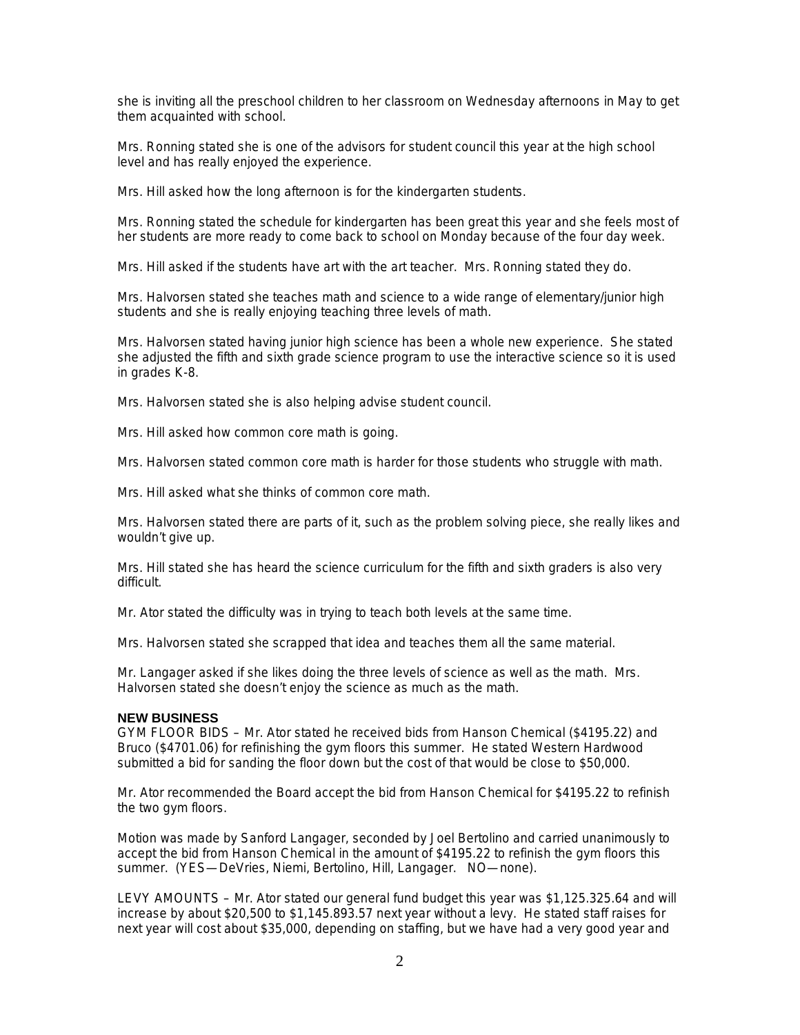she is inviting all the preschool children to her classroom on Wednesday afternoons in May to get them acquainted with school.

Mrs. Ronning stated she is one of the advisors for student council this year at the high school level and has really enjoyed the experience.

Mrs. Hill asked how the long afternoon is for the kindergarten students.

Mrs. Ronning stated the schedule for kindergarten has been great this year and she feels most of her students are more ready to come back to school on Monday because of the four day week.

Mrs. Hill asked if the students have art with the art teacher. Mrs. Ronning stated they do.

Mrs. Halvorsen stated she teaches math and science to a wide range of elementary/junior high students and she is really enjoying teaching three levels of math.

Mrs. Halvorsen stated having junior high science has been a whole new experience. She stated she adjusted the fifth and sixth grade science program to use the interactive science so it is used in grades K-8.

Mrs. Halvorsen stated she is also helping advise student council.

Mrs. Hill asked how common core math is going.

Mrs. Halvorsen stated common core math is harder for those students who struggle with math.

Mrs. Hill asked what she thinks of common core math.

Mrs. Halvorsen stated there are parts of it, such as the problem solving piece, she really likes and wouldn't give up.

Mrs. Hill stated she has heard the science curriculum for the fifth and sixth graders is also very difficult.

Mr. Ator stated the difficulty was in trying to teach both levels at the same time.

Mrs. Halvorsen stated she scrapped that idea and teaches them all the same material.

Mr. Langager asked if she likes doing the three levels of science as well as the math. Mrs. Halvorsen stated she doesn't enjoy the science as much as the math.

#### **NEW BUSINESS**

GYM FLOOR BIDS – Mr. Ator stated he received bids from Hanson Chemical (\$4195.22) and Bruco (\$4701.06) for refinishing the gym floors this summer. He stated Western Hardwood submitted a bid for sanding the floor down but the cost of that would be close to \$50,000.

Mr. Ator recommended the Board accept the bid from Hanson Chemical for \$4195.22 to refinish the two gym floors.

Motion was made by Sanford Langager, seconded by Joel Bertolino and carried unanimously to accept the bid from Hanson Chemical in the amount of \$4195.22 to refinish the gym floors this summer. (YES—DeVries, Niemi, Bertolino, Hill, Langager. NO—none).

LEVY AMOUNTS – Mr. Ator stated our general fund budget this year was \$1,125.325.64 and will increase by about \$20,500 to \$1,145.893.57 next year without a levy. He stated staff raises for next year will cost about \$35,000, depending on staffing, but we have had a very good year and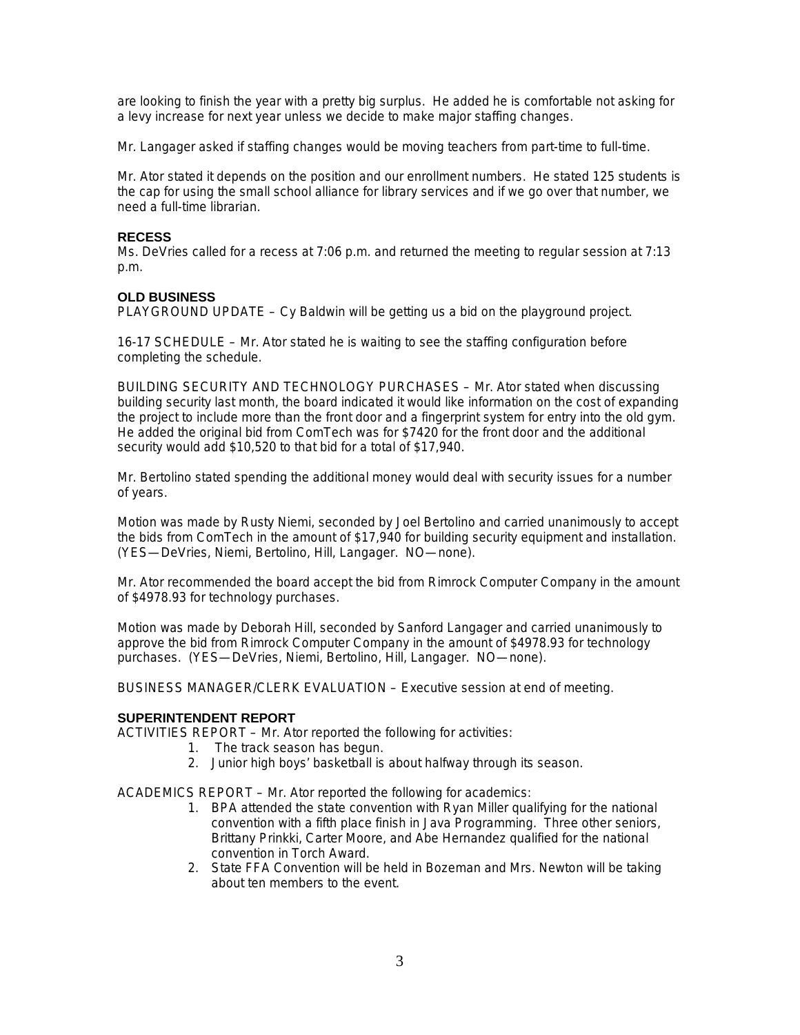are looking to finish the year with a pretty big surplus. He added he is comfortable not asking for a levy increase for next year unless we decide to make major staffing changes.

Mr. Langager asked if staffing changes would be moving teachers from part-time to full-time.

Mr. Ator stated it depends on the position and our enrollment numbers. He stated 125 students is the cap for using the small school alliance for library services and if we go over that number, we need a full-time librarian.

# **RECESS**

Ms. DeVries called for a recess at 7:06 p.m. and returned the meeting to regular session at 7:13 p.m.

# **OLD BUSINESS**

PLAYGROUND UPDATE – Cy Baldwin will be getting us a bid on the playground project.

16-17 SCHEDULE – Mr. Ator stated he is waiting to see the staffing configuration before completing the schedule.

BUILDING SECURITY AND TECHNOLOGY PURCHASES – Mr. Ator stated when discussing building security last month, the board indicated it would like information on the cost of expanding the project to include more than the front door and a fingerprint system for entry into the old gym. He added the original bid from ComTech was for \$7420 for the front door and the additional security would add \$10,520 to that bid for a total of \$17,940.

Mr. Bertolino stated spending the additional money would deal with security issues for a number of years.

Motion was made by Rusty Niemi, seconded by Joel Bertolino and carried unanimously to accept the bids from ComTech in the amount of \$17,940 for building security equipment and installation. (YES—DeVries, Niemi, Bertolino, Hill, Langager. NO—none).

Mr. Ator recommended the board accept the bid from Rimrock Computer Company in the amount of \$4978.93 for technology purchases.

Motion was made by Deborah Hill, seconded by Sanford Langager and carried unanimously to approve the bid from Rimrock Computer Company in the amount of \$4978.93 for technology purchases. (YES—DeVries, Niemi, Bertolino, Hill, Langager. NO—none).

BUSINESS MANAGER/CLERK EVALUATION – Executive session at end of meeting.

# **SUPERINTENDENT REPORT**

ACTIVITIES REPORT – Mr. Ator reported the following for activities:

- 1. The track season has begun.
- 2. Junior high boys' basketball is about halfway through its season.

ACADEMICS REPORT – Mr. Ator reported the following for academics:

- 1. BPA attended the state convention with Ryan Miller qualifying for the national convention with a fifth place finish in Java Programming. Three other seniors, Brittany Prinkki, Carter Moore, and Abe Hernandez qualified for the national convention in Torch Award.
- 2. State FFA Convention will be held in Bozeman and Mrs. Newton will be taking about ten members to the event.